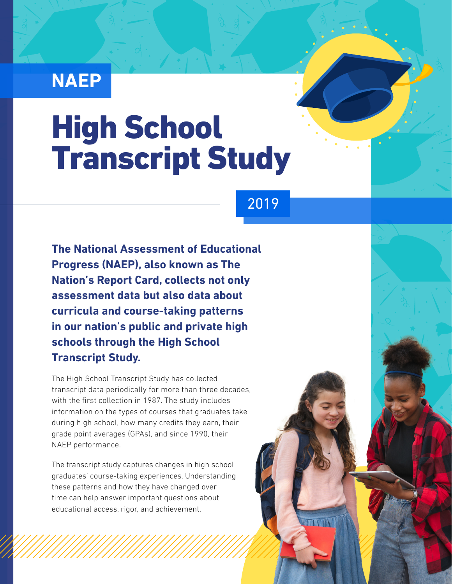## **NAEP**

# High School Transcript Study

### 2019

**The National Assessment of Educational Progress (NAEP), also known as The Nation's Report Card, collects not only assessment data but also data about curricula and course-taking patterns in our nation's public and private high schools through the High School Transcript Study.** 

The High School Transcript Study has collected transcript data periodically for more than three decades, with the first collection in 1987. The study includes information on the types of courses that graduates take during high school, how many credits they earn, their grade point averages (GPAs), and since 1990, their NAEP performance.

The transcript study captures changes in high school graduates' course-taking experiences. Understanding these patterns and how they have changed over time can help answer important questions about educational access, rigor, and achievement.